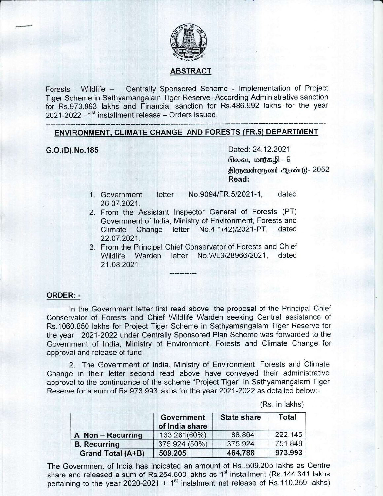

## ABSTRACT

Forests - Wildlife - Centrally Sponsored Scheme - lmplementation of Froject Tiger Scheme in Sathyamangalam Tiger Reserve- According Administrative sanction for Rs.973.993 lakhs and Financial sanction for Rs.486.992 lakhs for the year  $2021-2022-1^{st}$  installment release - Orders issued.

## ENVIRONMENT. CLIMATE CHANGE AND FORESTS (FR.s} DEPARTMENT

G.O.(D).No.185 Dated: 24.12.2021  $\Omega$ லவ, மார்கழி -  $9$ திருவள்ளுவர் ஆண்டு - 2052 Read:

- 1" Government letter No.9094/FR.512021-1, dated 26.A7 ,2021.
- 2. From the Assistant Inspector General of Forests (PT) Government of India, Ministry of Environment, Forests and<br>Climate Change letter No.4-1(42)/2021-PT, dated Climate Change letter  $No.4-1(42)/2021-PT$ , 22.07 .2021.
- 3. From the Principal Chief Conservator of Forests and Chief Wildlife Warden letter No.WL3/28966/2021, dated 21.08.2021.

### ORDER: -

In the Government letter first read above, the proposal of the Principal Chief Conservator of Forests and Chief Wildlife Warden seeking Central assistance of Rs.1060.850 lakhs for Project Tiger Scheme in Sathyamangalam Tiger Reserve for the year 2021-2022 under Centrally Sponsored Plan Scheme was forwarded to the Government of lndia, Ministry of Environment, Forests and Climate Change for approval and release of fund.

2. The Government of India, Ministry of Environment, Forests and Climate Change in their letter second read above have conveyed their administrative approval to the continuance of the scheme "Project Tiger" in Sathyamangalam Tiger Reserve for a sum of Rs.973.993 lakhs for the year 2021-2022 as detailed below:-

(Rs. in lakhs)

|                     | Government<br>of India share | <b>State share</b> | Total   |
|---------------------|------------------------------|--------------------|---------|
| A Non - Recurring   | 133.281(60%)                 | 88.864             | 222.145 |
| <b>B.</b> Recurring | 375.924 (50%)                | 375.924            | 751.848 |
| Grand Total (A+B)   | 509.205                      | 464.788            | 973.993 |

The Government of lndia has indicated an amount of Rs..509.205 lakhs as Centre share and released a sum of Rs.254.600 lakhs as  $1<sup>st</sup>$  installment (Rs.144.341 lakhs pertaining to the year 2020-2021 +  $1<sup>st</sup>$  instalment net release of Rs.110.259 lakhs)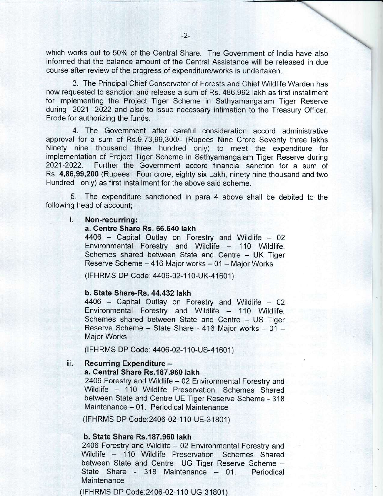which works out to 50% of the Central Share. The Government of lndia have also informed that the balance amount of the Central Assistance will be released in due course after review of the progress of expenditure/works is undertaken.

3. The Principal Chief Conservator of Forests and Chief Wildlife Warden has now requested to sanction and release a sum of Rs. 486.992 lakh as first installment for implementing the Project Tiger Scheme in Sathyamangalam Tiger Reserve during 2021 -2022 and also to issue necessary intimation to the Treasury Officer, Erode for authorizing the funds.

4. The Government after careful consideration accord administrative approval for a sum of Rs.9,73,99,300/- (Rupees Nine Crore Seventy three lakhs Ninety nine thousand three hundred only) to meet the expenditure for implementation of Project Tiger Scheme in Sathyamangalam Tiger Reserve during 2021-2022. Further the Government accord financial sanction for a sum of Rs. 4,86,99,200 (Rupees Four crore, eighty six Lakh, ninety nine thousand and two Hundred only) as first installment for the above said scheme.

5. The expenditure sanctioned in para 4 above shall be debited to the following head of account;-

# i. Non-recurring:

 $4406$  – Capital Outlay on Forestry and Wildlife – 02 Environmental Forestry and Wildlife - 110 Wildlife. Schemes shared between State and Centre - UK Tiger Reserve Scheme  $-416$  Major works  $-01$  - Major Works

(IFHRMS DP Code: 4406-02-110-UK-41601)

**b. State Share-Rs. 44.432 lakh <br>4406 – Capital Outlay on Forestry and Wildlife – 02** Environmental Forestry and Wildlife - 110 Wildlife. Schemes shared between State and Centre - US Tiger Reserve Scheme - State Share - 416 Major works - 01 -Major Works

(IFHRMS DP Code: 4406-02-110-US-41601)

#### ii. Recurring Expenditure -

#### a. Central Share Rs.187.960 lakh

2406 Forestry and Wildlife - 02 Environmental Forestry and<br>Wildlife - 110 Wildlife Preservation. Schemes Shared between State and Centre UE Tiger Reserve Scheme - 318 Maintenance - 01. Periodical Maintenance

(IFHRMS DP Code: 2406-02-110-UE-31801)

#### b. State Share Rs.187.960 lakh

2406 Forestry and Wildlife - 02 Environmental Forestry and<br>Wildlife - 110 Wildlife Preservation. Schemes Shared between State and Centre UG Tiger Reserve Scheme -<br>State Share - 318 Maintenance - 01. Periodical State Share - 318 Maintenance  $-$  01. **Maintenance** 

(IFHRMS DP Code:2 406-02-11 0-UG-31 801 )